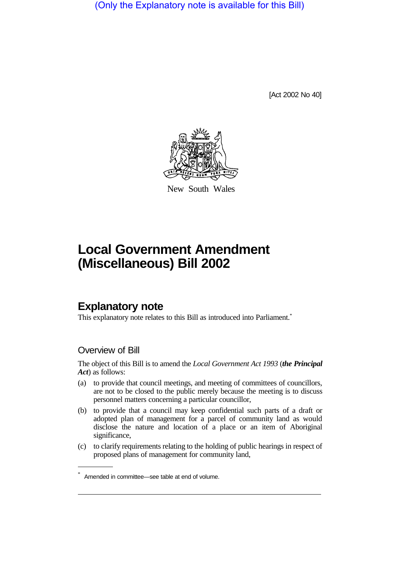(Only the Explanatory note is available for this Bill)

[Act 2002 No 40]



New South Wales

## **Local Government Amendment (Miscellaneous) Bill 2002**

## **Explanatory note**

This explanatory note relates to this Bill as introduced into Parliament.<sup>\*</sup>

## Overview of Bill

The object of this Bill is to amend the *Local Government Act 1993* (*the Principal Act*) as follows:

- (a) to provide that council meetings, and meeting of committees of councillors, are not to be closed to the public merely because the meeting is to discuss personnel matters concerning a particular councillor,
- (b) to provide that a council may keep confidential such parts of a draft or adopted plan of management for a parcel of community land as would disclose the nature and location of a place or an item of Aboriginal significance,
- (c) to clarify requirements relating to the holding of public hearings in respect of proposed plans of management for community land,

Amended in committee—see table at end of volume.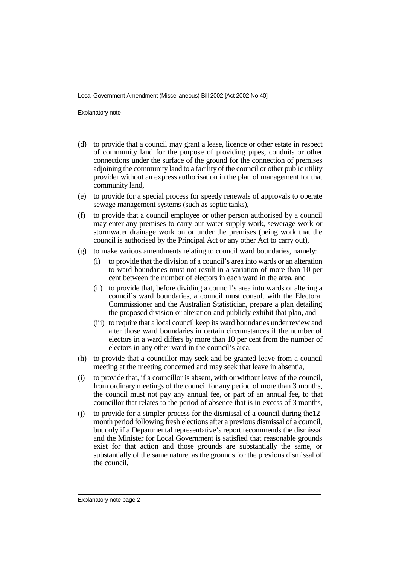Explanatory note

- (d) to provide that a council may grant a lease, licence or other estate in respect of community land for the purpose of providing pipes, conduits or other connections under the surface of the ground for the connection of premises adjoining the community land to a facility of the council or other public utility provider without an express authorisation in the plan of management for that community land,
- (e) to provide for a special process for speedy renewals of approvals to operate sewage management systems (such as septic tanks),
- (f) to provide that a council employee or other person authorised by a council may enter any premises to carry out water supply work, sewerage work or stormwater drainage work on or under the premises (being work that the council is authorised by the Principal Act or any other Act to carry out),
- (g) to make various amendments relating to council ward boundaries, namely:
	- (i) to provide that the division of a council's area into wards or an alteration to ward boundaries must not result in a variation of more than 10 per cent between the number of electors in each ward in the area, and
	- (ii) to provide that, before dividing a council's area into wards or altering a council's ward boundaries, a council must consult with the Electoral Commissioner and the Australian Statistician, prepare a plan detailing the proposed division or alteration and publicly exhibit that plan, and
	- (iii) to require that a local council keep its ward boundaries under review and alter those ward boundaries in certain circumstances if the number of electors in a ward differs by more than 10 per cent from the number of electors in any other ward in the council's area,
- (h) to provide that a councillor may seek and be granted leave from a council meeting at the meeting concerned and may seek that leave in absentia,
- (i) to provide that, if a councillor is absent, with or without leave of the council, from ordinary meetings of the council for any period of more than 3 months, the council must not pay any annual fee, or part of an annual fee, to that councillor that relates to the period of absence that is in excess of 3 months,
- (j) to provide for a simpler process for the dismissal of a council during the12 month period following fresh elections after a previous dismissal of a council, but only if a Departmental representative's report recommends the dismissal and the Minister for Local Government is satisfied that reasonable grounds exist for that action and those grounds are substantially the same, or substantially of the same nature, as the grounds for the previous dismissal of the council,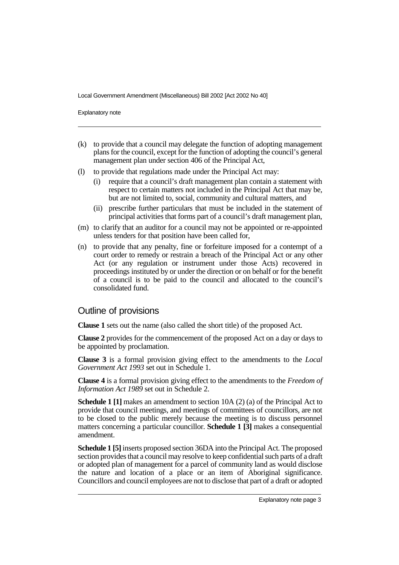Explanatory note

- (k) to provide that a council may delegate the function of adopting management plans for the council, except for the function of adopting the council's general management plan under section 406 of the Principal Act,
- (l) to provide that regulations made under the Principal Act may:
	- (i) require that a council's draft management plan contain a statement with respect to certain matters not included in the Principal Act that may be, but are not limited to, social, community and cultural matters, and
	- (ii) prescribe further particulars that must be included in the statement of principal activities that forms part of a council's draft management plan,
- (m) to clarify that an auditor for a council may not be appointed or re-appointed unless tenders for that position have been called for,
- (n) to provide that any penalty, fine or forfeiture imposed for a contempt of a court order to remedy or restrain a breach of the Principal Act or any other Act (or any regulation or instrument under those Acts) recovered in proceedings instituted by or under the direction or on behalf or for the benefit of a council is to be paid to the council and allocated to the council's consolidated fund.

## Outline of provisions

**Clause 1** sets out the name (also called the short title) of the proposed Act.

**Clause 2** provides for the commencement of the proposed Act on a day or days to be appointed by proclamation.

**Clause 3** is a formal provision giving effect to the amendments to the *Local Government Act 1993* set out in Schedule 1.

**Clause 4** is a formal provision giving effect to the amendments to the *Freedom of Information Act 1989* set out in Schedule 2.

**Schedule 1 [1]** makes an amendment to section 10A (2) (a) of the Principal Act to provide that council meetings, and meetings of committees of councillors, are not to be closed to the public merely because the meeting is to discuss personnel matters concerning a particular councillor. **Schedule 1 [3]** makes a consequential amendment.

**Schedule 1 [5]**inserts proposed section 36DA into the Principal Act. The proposed section provides that a council may resolve to keep confidential such parts of a draft or adopted plan of management for a parcel of community land as would disclose the nature and location of a place or an item of Aboriginal significance. Councillors and council employees are not to disclose that part of a draft or adopted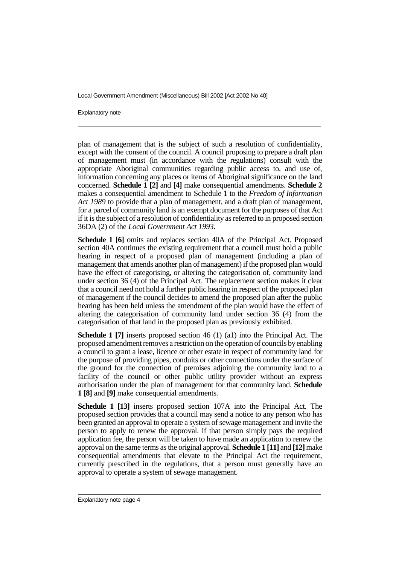Explanatory note

plan of management that is the subject of such a resolution of confidentiality, except with the consent of the council. A council proposing to prepare a draft plan of management must (in accordance with the regulations) consult with the appropriate Aboriginal communities regarding public access to, and use of, information concerning any places or items of Aboriginal significance on the land concerned. **Schedule 1 [2]** and **[4]** make consequential amendments. **Schedule 2** makes a consequential amendment to Schedule 1 to the *Freedom of Information Act 1989* to provide that a plan of management, and a draft plan of management, for a parcel of community land is an exempt document for the purposes of that Act if it is the subject of a resolution of confidentiality as referred to in proposed section 36DA (2) of the *Local Government Act 1993*.

**Schedule 1 [6]** omits and replaces section 40A of the Principal Act. Proposed section 40A continues the existing requirement that a council must hold a public hearing in respect of a proposed plan of management (including a plan of management that amends another plan of management) if the proposed plan would have the effect of categorising, or altering the categorisation of, community land under section 36 (4) of the Principal Act. The replacement section makes it clear that a council need not hold a further public hearing in respect of the proposed plan of management if the council decides to amend the proposed plan after the public hearing has been held unless the amendment of the plan would have the effect of altering the categorisation of community land under section 36 (4) from the categorisation of that land in the proposed plan as previously exhibited.

**Schedule 1 [7]** inserts proposed section 46 (1) (a1) into the Principal Act. The proposed amendment removes a restriction on the operation of councils byenabling a council to grant a lease, licence or other estate in respect of community land for the purpose of providing pipes, conduits or other connections under the surface of the ground for the connection of premises adjoining the community land to a facility of the council or other public utility provider without an express authorisation under the plan of management for that community land. **Schedule 1 [8]** and **[9]** make consequential amendments.

**Schedule 1 [13]** inserts proposed section 107A into the Principal Act. The proposed section provides that a council may send a notice to any person who has been granted an approval to operate a system of sewage management and invite the person to apply to renew the approval. If that person simply pays the required application fee, the person will be taken to have made an application to renew the approval on the same terms as the original approval. **Schedule 1 [11]** and **[12]**make consequential amendments that elevate to the Principal Act the requirement, currently prescribed in the regulations, that a person must generally have an approval to operate a system of sewage management.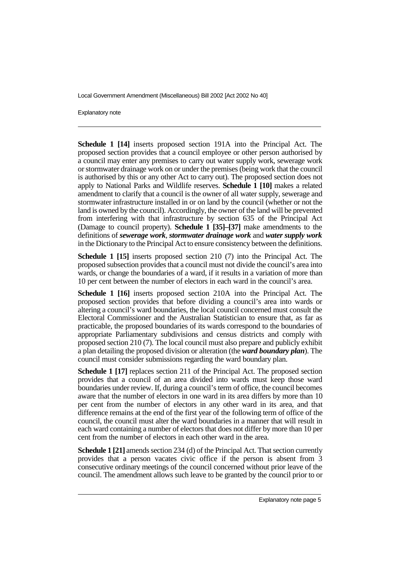Explanatory note

**Schedule 1 [14]** inserts proposed section 191A into the Principal Act. The proposed section provides that a council employee or other person authorised by a council may enter any premises to carry out water supply work, sewerage work or stormwater drainage work on or under the premises (being work that the council is authorised by this or any other Act to carry out). The proposed section does not apply to National Parks and Wildlife reserves. **Schedule 1 [10]** makes a related amendment to clarify that a council is the owner of all water supply, sewerage and stormwater infrastructure installed in or on land by the council (whether or not the land is owned by the council). Accordingly, the owner of the land will be prevented from interfering with that infrastructure by section 635 of the Principal Act (Damage to council property). **Schedule 1 [35]–[37]** make amendments to the definitions of *sewerage work*, *stormwater drainage work* and *water supply work* in the Dictionary to the Principal Act to ensure consistency between the definitions.

**Schedule 1 [15]** inserts proposed section 210 (7) into the Principal Act. The proposed subsection provides that a council must not divide the council's area into wards, or change the boundaries of a ward, if it results in a variation of more than 10 per cent between the number of electors in each ward in the council's area.

**Schedule 1 [16]** inserts proposed section 210A into the Principal Act. The proposed section provides that before dividing a council's area into wards or altering a council's ward boundaries, the local council concerned must consult the Electoral Commissioner and the Australian Statistician to ensure that, as far as practicable, the proposed boundaries of its wards correspond to the boundaries of appropriate Parliamentary subdivisions and census districts and comply with proposed section 210 (7). The local council must also prepare and publicly exhibit a plan detailing the proposed division or alteration (the *ward boundary plan*). The council must consider submissions regarding the ward boundary plan.

**Schedule 1 [17]** replaces section 211 of the Principal Act. The proposed section provides that a council of an area divided into wards must keep those ward boundaries under review. If, during a council's term of office, the council becomes aware that the number of electors in one ward in its area differs by more than 10 per cent from the number of electors in any other ward in its area, and that difference remains at the end of the first year of the following term of office of the council, the council must alter the ward boundaries in a manner that will result in each ward containing a number of electors that does not differ by more than 10 per cent from the number of electors in each other ward in the area.

**Schedule 1 [21]** amends section 234 (d) of the Principal Act. That section currently provides that a person vacates civic office if the person is absent from 3 consecutive ordinary meetings of the council concerned without prior leave of the council. The amendment allows such leave to be granted by the council prior to or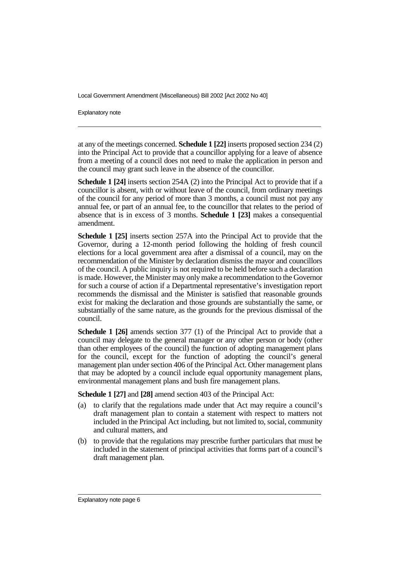Explanatory note

at any of the meetings concerned. **Schedule 1 [22]** inserts proposed section 234 (2) into the Principal Act to provide that a councillor applying for a leave of absence from a meeting of a council does not need to make the application in person and the council may grant such leave in the absence of the councillor.

**Schedule 1 [24]** inserts section 254A (2) into the Principal Act to provide that if a councillor is absent, with or without leave of the council, from ordinary meetings of the council for any period of more than 3 months, a council must not pay any annual fee, or part of an annual fee, to the councillor that relates to the period of absence that is in excess of 3 months. **Schedule 1 [23]** makes a consequential amendment.

**Schedule 1 [25]** inserts section 257A into the Principal Act to provide that the Governor, during a 12-month period following the holding of fresh council elections for a local government area after a dismissal of a council, may on the recommendation of the Minister by declaration dismiss the mayor and councillors of the council. A public inquiry is not required to be held before such a declaration is made. However, the Minister may only make a recommendation to the Governor for such a course of action if a Departmental representative's investigation report recommends the dismissal and the Minister is satisfied that reasonable grounds exist for making the declaration and those grounds are substantially the same, or substantially of the same nature, as the grounds for the previous dismissal of the council.

**Schedule 1 [26]** amends section 377 (1) of the Principal Act to provide that a council may delegate to the general manager or any other person or body (other than other employees of the council) the function of adopting management plans for the council, except for the function of adopting the council's general management plan under section 406 of the Principal Act. Other management plans that may be adopted by a council include equal opportunity management plans, environmental management plans and bush fire management plans.

**Schedule 1 [27]** and **[28]** amend section 403 of the Principal Act:

- (a) to clarify that the regulations made under that Act may require a council's draft management plan to contain a statement with respect to matters not included in the Principal Act including, but not limited to, social, community and cultural matters, and
- (b) to provide that the regulations may prescribe further particulars that must be included in the statement of principal activities that forms part of a council's draft management plan.